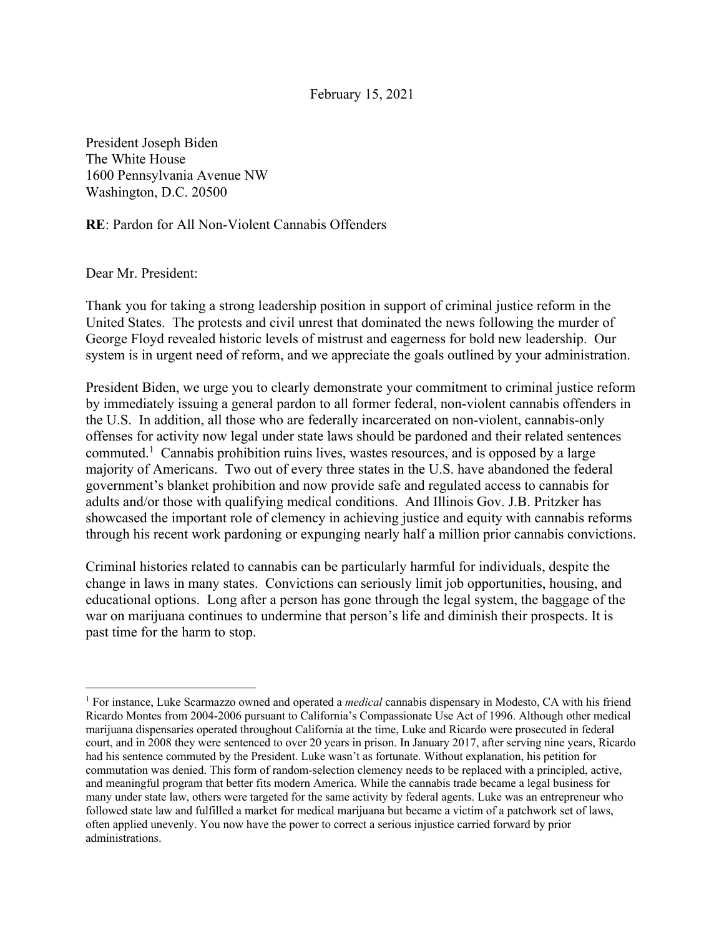## February 15, 2021

President Joseph Biden The White House 1600 Pennsylvania Avenue NW Washington, D.C. 20500

**RE**: Pardon for All Non-Violent Cannabis Offenders

Dear Mr. President:

Thank you for taking a strong leadership position in support of criminal justice reform in the United States. The protests and civil unrest that dominated the news following the murder of George Floyd revealed historic levels of mistrust and eagerness for bold new leadership. Our system is in urgent need of reform, and we appreciate the goals outlined by your administration.

President Biden, we urge you to clearly demonstrate your commitment to criminal justice reform by immediately issuing a general pardon to all former federal, non-violent cannabis offenders in the U.S. In addition, all those who are federally incarcerated on non-violent, cannabis-only offenses for activity now legal under state laws should be pardoned and their related sentences commuted.<sup>1</sup> Cannabis prohibition ruins lives, wastes resources, and is opposed by a large majority of Americans. Two out of every three states in the U.S. have abandoned the federal government's blanket prohibition and now provide safe and regulated access to cannabis for adults and/or those with qualifying medical conditions. And Illinois Gov. J.B. Pritzker has showcased the important role of clemency in achieving justice and equity with cannabis reforms through his recent work pardoning or expunging nearly half a million prior cannabis convictions.

Criminal histories related to cannabis can be particularly harmful for individuals, despite the change in laws in many states. Convictions can seriously limit job opportunities, housing, and educational options. Long after a person has gone through the legal system, the baggage of the war on marijuana continues to undermine that person's life and diminish their prospects. It is past time for the harm to stop.

<sup>1</sup> For instance, Luke Scarmazzo owned and operated a *medical* cannabis dispensary in Modesto, CA with his friend Ricardo Montes from 2004-2006 pursuant to California's Compassionate Use Act of 1996. Although other medical marijuana dispensaries operated throughout California at the time, Luke and Ricardo were prosecuted in federal court, and in 2008 they were sentenced to over 20 years in prison. In January 2017, after serving nine years, Ricardo had his sentence commuted by the President. Luke wasn't as fortunate. Without explanation, his petition for commutation was denied. This form of random-selection clemency needs to be replaced with a principled, active, and meaningful program that better fits modern America. While the cannabis trade became a legal business for many under state law, others were targeted for the same activity by federal agents. Luke was an entrepreneur who followed state law and fulfilled a market for medical marijuana but became a victim of a patchwork set of laws, often applied unevenly. You now have the power to correct a serious injustice carried forward by prior administrations.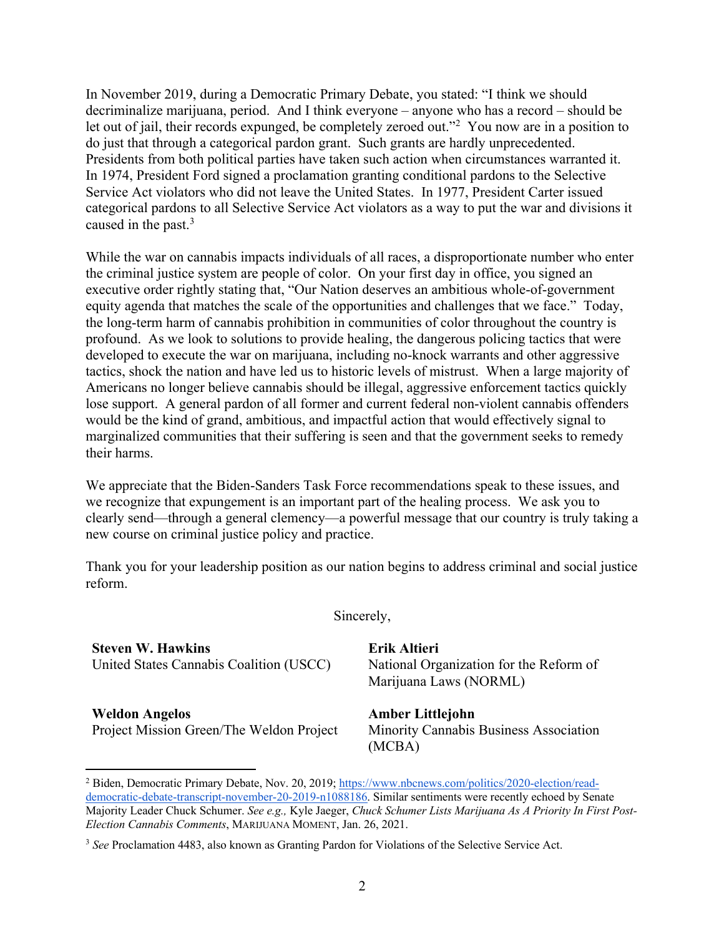In November 2019, during a Democratic Primary Debate, you stated: "I think we should decriminalize marijuana, period. And I think everyone – anyone who has a record – should be let out of jail, their records expunged, be completely zeroed out."2 You now are in a position to do just that through a categorical pardon grant. Such grants are hardly unprecedented. Presidents from both political parties have taken such action when circumstances warranted it. In 1974, President Ford signed a proclamation granting conditional pardons to the Selective Service Act violators who did not leave the United States. In 1977, President Carter issued categorical pardons to all Selective Service Act violators as a way to put the war and divisions it caused in the past.<sup>3</sup>

While the war on cannabis impacts individuals of all races, a disproportionate number who enter the criminal justice system are people of color. On your first day in office, you signed an executive order rightly stating that, "Our Nation deserves an ambitious whole-of-government equity agenda that matches the scale of the opportunities and challenges that we face." Today, the long-term harm of cannabis prohibition in communities of color throughout the country is profound. As we look to solutions to provide healing, the dangerous policing tactics that were developed to execute the war on marijuana, including no-knock warrants and other aggressive tactics, shock the nation and have led us to historic levels of mistrust. When a large majority of Americans no longer believe cannabis should be illegal, aggressive enforcement tactics quickly lose support. A general pardon of all former and current federal non-violent cannabis offenders would be the kind of grand, ambitious, and impactful action that would effectively signal to marginalized communities that their suffering is seen and that the government seeks to remedy their harms.

We appreciate that the Biden-Sanders Task Force recommendations speak to these issues, and we recognize that expungement is an important part of the healing process. We ask you to clearly send—through a general clemency—a powerful message that our country is truly taking a new course on criminal justice policy and practice.

Thank you for your leadership position as our nation begins to address criminal and social justice reform.

Sincerely,

**Steven W. Hawkins** United States Cannabis Coalition (USCC)

**Weldon Angelos** Project Mission Green/The Weldon Project **Erik Altieri** National Organization for the Reform of Marijuana Laws (NORML)

**Amber Littlejohn** Minority Cannabis Business Association (MCBA)

<sup>2</sup> Biden, Democratic Primary Debate, Nov. 20, 2019; https://www.nbcnews.com/politics/2020-election/readdemocratic-debate-transcript-november-20-2019-n1088186. Similar sentiments were recently echoed by Senate Majority Leader Chuck Schumer. *See e.g.,* Kyle Jaeger, *Chuck Schumer Lists Marijuana As A Priority In First Post-Election Cannabis Comments*, MARIJUANA MOMENT, Jan. 26, 2021.

<sup>3</sup> *See* Proclamation 4483, also known as Granting Pardon for Violations of the Selective Service Act.